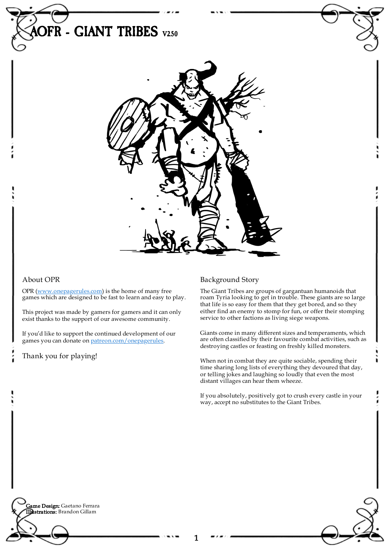

## About OPR

OPR [\(www.onepagerules.com](https://webapp.onepagerules.com/army-books/view/HjmV6_v6dmBmEdy7~6/https//www.onepagerules.com)) is the home of many free games which are designed to be fast to learn and easy to play.

This project was made by gamers for gamers and it can only exist thanks to the support of our awesome community.

If you'd like to support the continued development of our games you can donate on [patreon.com/onepagerules](https://www.patreon.com/onepagerules).

Thank you for playing!

## Background Story

The Giant Tribes are groups of gargantuan humanoids that roam Tyria looking to get in trouble. These giants are so large that life is so easy for them that they get bored, and so they either find an enemy to stomp for fun, or offer their stomping service to other factions as living siege weapons.

Giants come in many different sizes and temperaments, which are often classified by their favourite combat activities, such as destroying castles or feasting on freshly killed monsters.

When not in combat they are quite sociable, spending their time sharing long lists of everything they devoured that day, or telling jokes and laughing so loudly that even the most distant villages can hear them wheeze.

If you absolutely, positively got to crush every castle in your way, accept no substitutes to the Giant Tribes.